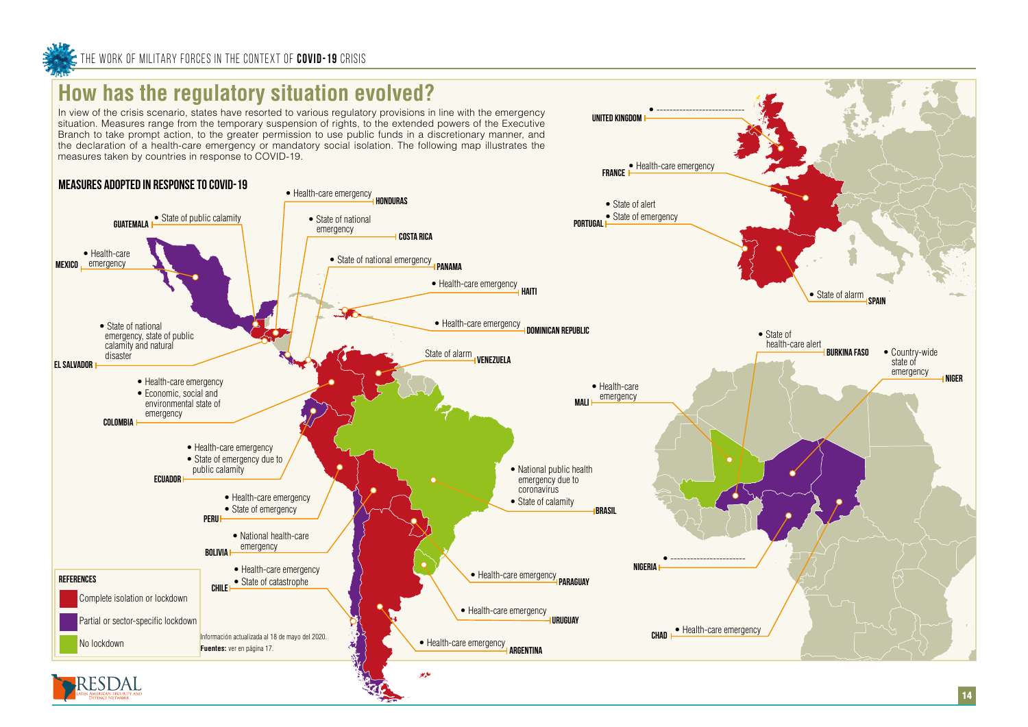## **How has the regulatory situation evolved?**

In view of the crisis scenario, states have resorted to various regulatory provisions in line with the emergency situation. Measures range from the temporary suspension of rights, to the extended powers of the Executive Branch to take prompt action, to the greater permission to use public funds in a discretionary manner, and the declaration of a health-care emergency or mandatory social isolation. The following map illustrates the measures taken by countries in response to COVID-19.



• ---------------------------

**UNITED KINGDOM**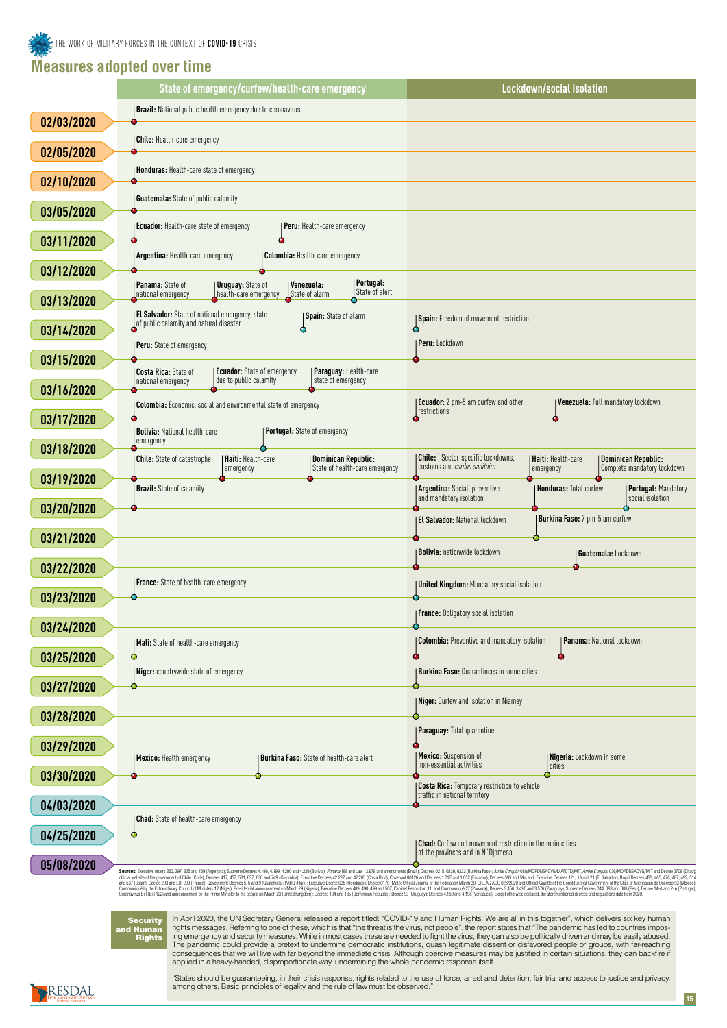## **Measures adopted over time**



**Security** and Human Rights

|                   | State of emergency/curfew/health-care emergency                                                                                                                   | Lockdown/social isolation                                                                                                                |
|-------------------|-------------------------------------------------------------------------------------------------------------------------------------------------------------------|------------------------------------------------------------------------------------------------------------------------------------------|
|                   | <b>Brazil:</b> National public health emergency due to coronavirus                                                                                                |                                                                                                                                          |
| 02/03/2020        |                                                                                                                                                                   |                                                                                                                                          |
| 02/05/2020        | <b>Chile:</b> Health-care emergency                                                                                                                               |                                                                                                                                          |
|                   | <b>Honduras: Health-care state of emergency</b>                                                                                                                   |                                                                                                                                          |
| 02/10/2020        | <b>Guatemala:</b> State of public calamity                                                                                                                        |                                                                                                                                          |
| 03/05/2020        |                                                                                                                                                                   |                                                                                                                                          |
|                   | <b>Ecuador:</b> Health-care state of emergency<br><b>Peru:</b> Health-care emergency                                                                              |                                                                                                                                          |
| 03/11/2020        | Colombia: Health-care emergency<br>Argentina: Health-care emergency                                                                                               |                                                                                                                                          |
| 03/12/2020        |                                                                                                                                                                   |                                                                                                                                          |
| 03/13/2020        | Portugal:<br>Panama: State of<br><b>Uruguay:</b> State of<br><i>Venezuela:</i><br>State of alert<br>State of alarm<br>national emergency<br>health-care emergency |                                                                                                                                          |
|                   | El Salvador: State of national emergency, state<br>Spain: State of alarm                                                                                          | <b>Spain:</b> Freedom of movement restriction                                                                                            |
| 03/14/2020        | of public calamity and natural disaster                                                                                                                           |                                                                                                                                          |
| 03/15/2020        | Peru: State of emergency                                                                                                                                          | Peru: Lockdown                                                                                                                           |
|                   | <b>Ecuador:</b> State of emergency<br>Paraguay: Health-care<br><b>Costa Rica: State of</b><br>due to public calamity<br>state of emergency<br>national emergency  |                                                                                                                                          |
| 03/16/2020        |                                                                                                                                                                   | Ecuador: 2 pm-5 am curfew and other<br>Venezuela: Full mandatory lockdown                                                                |
| 03/17/2020        | <b>Colombia:</b> Economic, social and environmental state of emergency                                                                                            | restrictions                                                                                                                             |
|                   | Portugal: State of emergency<br><b>Bolivia: National health-care</b><br>emergency                                                                                 |                                                                                                                                          |
| 03/18/2020        | <b>Haiti: Health-care</b><br>Dominican Republic:<br><b>Chile:</b> State of catastrophe                                                                            | <b>Chile:</b> ) Sector-specific lockdowns,<br>  Haiti: Health-care<br>Dominican Republic:                                                |
| 03/19/2020        | State of health-care emergency<br>  emergency                                                                                                                     | customs and cordon sanitaire<br>Complete mandatory lockdown<br>emergency                                                                 |
|                   | <b>Brazil:</b> State of calamity                                                                                                                                  | <b>Argentina: Social, preventive</b><br>  Honduras: Total curfew<br>  Portugal: Mandatory<br>and mandatory isolation<br>social isolation |
| 03/20/2020        |                                                                                                                                                                   | Burkina Faso: 7 pm-5 am curfew<br><b>El Salvador: National lockdown</b>                                                                  |
| 03/21/2020        |                                                                                                                                                                   |                                                                                                                                          |
|                   |                                                                                                                                                                   | <b>Bolivia: nationwide lockdown</b><br>Guatemala: Lockdown                                                                               |
| 03/22/2020        | France: State of health-care emergency                                                                                                                            | <b>United Kingdom: Mandatory social isolation</b>                                                                                        |
| 03/23/2020        |                                                                                                                                                                   |                                                                                                                                          |
|                   |                                                                                                                                                                   | <b>France:</b> Obligatory social isolation                                                                                               |
| 03/24/2020        | <b>Mali:</b> State of health-care emergency                                                                                                                       | <b>Colombia:</b> Preventive and mandatory isolation<br><b>Panama: National lockdown</b>                                                  |
| 03/25/2020        |                                                                                                                                                                   |                                                                                                                                          |
| 03/27/2020        | Niger: countrywide state of emergency                                                                                                                             | <b>Burkina Faso: Quarantinces in some cities</b>                                                                                         |
|                   |                                                                                                                                                                   | <b>Niger:</b> Curfew and isolation in Niamey                                                                                             |
| 03/28/2020        |                                                                                                                                                                   |                                                                                                                                          |
| 03/29/2020        |                                                                                                                                                                   | <b>Paraguay: Total quarantine</b>                                                                                                        |
|                   | Burkina Faso: State of health-care alert<br><b>Mexico:</b> Health emergency                                                                                       | <b>Mexico:</b> Suspension of<br>  Nigeria: Lockdown in some<br>non-essential activities<br>cities                                        |
| <b>03/30/2020</b> |                                                                                                                                                                   |                                                                                                                                          |

In April 2020, the UN Secretary General released a report titled: "COVID-19 and Human Rights. We are all in this together", which delivers six key human rights messages. Referring to one of these, which is that "the threat is the virus, not people", the report states that "The pandemic has led to countries imposing emergency and security measures. While in most cases these are needed to fight the virus, they can also be politically driven and may be easily abused. The pandemic could provide a pretext to undermine democratic institutions, quash legitimate dissent or disfavored people or groups, with far-reaching consequences that we will live with far beyond the immediate crisis. Although coercive measures may be justified in certain situations, they can backfire if applied in a heavy-handed, disproportionate way, undermining the whole pandemic response itself.

"States should be guaranteeing, in their crisis response, rights related to the use of force, arrest and detention, fair trial and access to justice and privacy, among others. Basic principles of legality and the rule of law must be observed."